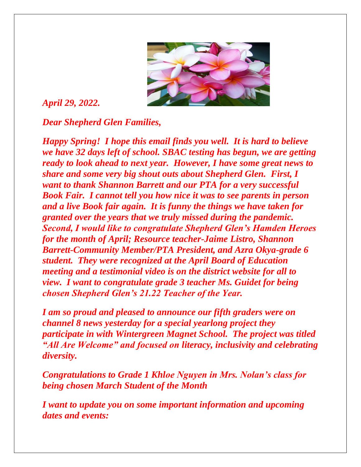

## *April 29, 2022.*

*Dear Shepherd Glen Families,*

*Happy Spring! I hope this email finds you well. It is hard to believe we have 32 days left of school. SBAC testing has begun, we are getting ready to look ahead to next year. However, I have some great news to share and some very big shout outs about Shepherd Glen. First, I want to thank Shannon Barrett and our PTA for a very successful Book Fair. I cannot tell you how nice it was to see parents in person and a live Book fair again. It is funny the things we have taken for granted over the years that we truly missed during the pandemic. Second, I would like to congratulate Shepherd Glen's Hamden Heroes for the month of April; Resource teacher-Jaime Listro, Shannon Barrett-Community Member/PTA President, and Azra Okya-grade 6 student. They were recognized at the April Board of Education meeting and a testimonial video is on the district website for all to view. I want to congratulate grade 3 teacher Ms. Guidet for being chosen Shepherd Glen's 21.22 Teacher of the Year.* 

*I am so proud and pleased to announce our fifth graders were on channel 8 news yesterday for a special yearlong project they participate in with Wintergreen Magnet School. The project was titled "All Are Welcome" and focused on literacy, inclusivity and celebrating diversity.*

*Congratulations to Grade 1 Khloe Nguyen in Mrs. Nolan's class for being chosen March Student of the Month*

*I want to update you on some important information and upcoming dates and events:*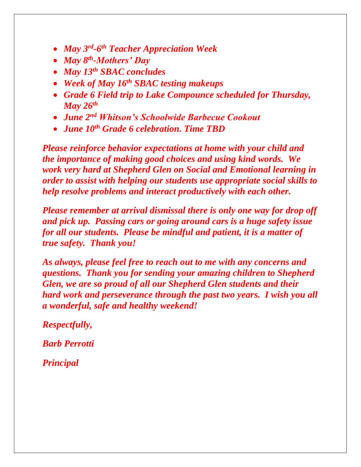- *May 3rd -6 th Teacher Appreciation Week*
- *May 8th -Mothers' Day*
- *May 13th SBAC concludes*
- *Week of May 16th SBAC testing makeups*
- *Grade 6 Field trip to Lake Compounce scheduled for Thursday, May 26th*
- *June 2nd Whitson's Schoolwide Barbecue Cookout*
- *June 10th Grade 6 celebration. Time TBD*

*Please reinforce behavior expectations at home with your child and the importance of making good choices and using kind words. We work very hard at Shepherd Glen on Social and Emotional learning in order to assist with helping our students use appropriate social skills to help resolve problems and interact productively with each other.* 

*Please remember at arrival dismissal there is only one way for drop off and pick up. Passing cars or going around cars is a huge safety issue for all our students. Please be mindful and patient, it is a matter of true safety. Thank you!*

*As always, please feel free to reach out to me with any concerns and questions. Thank you for sending your amazing children to Shepherd Glen, we are so proud of all our Shepherd Glen students and their hard work and perseverance through the past two years. I wish you all a wonderful, safe and healthy weekend!*

*Respectfully,*

*Barb Perrotti*

*Principal*